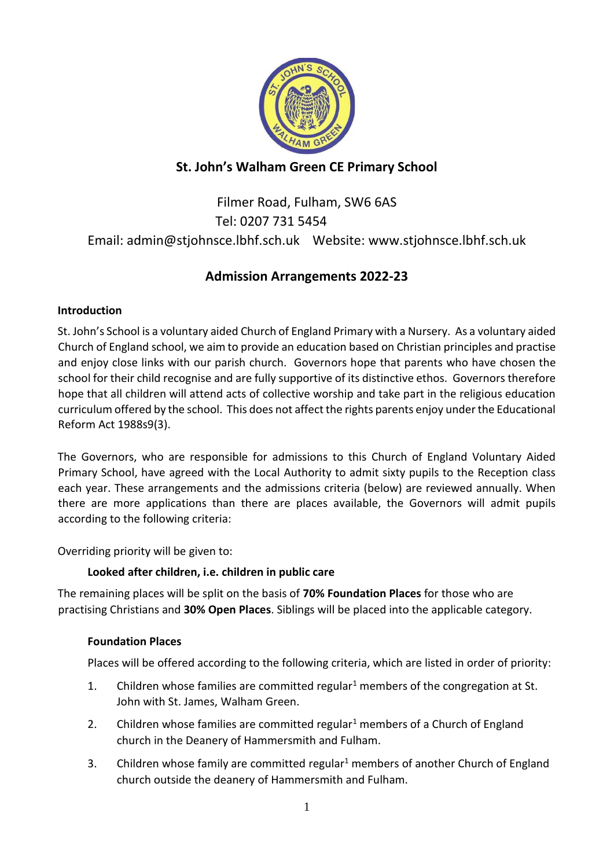

## **St. John's Walham Green CE Primary School**

# Filmer Road, Fulham, SW6 6AS Tel: 0207 731 5454 Email: admin@stjohnsce.lbhf.sch.uk Website: [www.stjohnsce.lbhf.sch.uk](http://www.stjohnsce.lbhf.sch.uk/)

## **Admission Arrangements 2022-23**

## **Introduction**

St. John's School is a voluntary aided Church of England Primary with a Nursery. As a voluntary aided Church of England school, we aim to provide an education based on Christian principles and practise and enjoy close links with our parish church. Governors hope that parents who have chosen the school for their child recognise and are fully supportive of its distinctive ethos. Governors therefore hope that all children will attend acts of collective worship and take part in the religious education curriculum offered by the school. This does not affect the rights parents enjoy under the Educational Reform Act 1988s9(3).

The Governors, who are responsible for admissions to this Church of England Voluntary Aided Primary School, have agreed with the Local Authority to admit sixty pupils to the Reception class each year. These arrangements and the admissions criteria (below) are reviewed annually. When there are more applications than there are places available, the Governors will admit pupils according to the following criteria:

Overriding priority will be given to:

## **Looked after children, i.e. children in public care**

The remaining places will be split on the basis of **70% Foundation Places** for those who are practising Christians and **30% Open Places**. Siblings will be placed into the applicable category.

## **Foundation Places**

Places will be offered according to the following criteria, which are listed in order of priority:

- 1. Children whose families are committed regular<sup>1</sup> members of the congregation at St. John with St. James, Walham Green.
- 2. Children whose families are committed regular<sup>1</sup> members of a Church of England church in the Deanery of Hammersmith and Fulham.
- 3. Children whose family are committed regular<sup>1</sup> members of another Church of England church outside the deanery of Hammersmith and Fulham.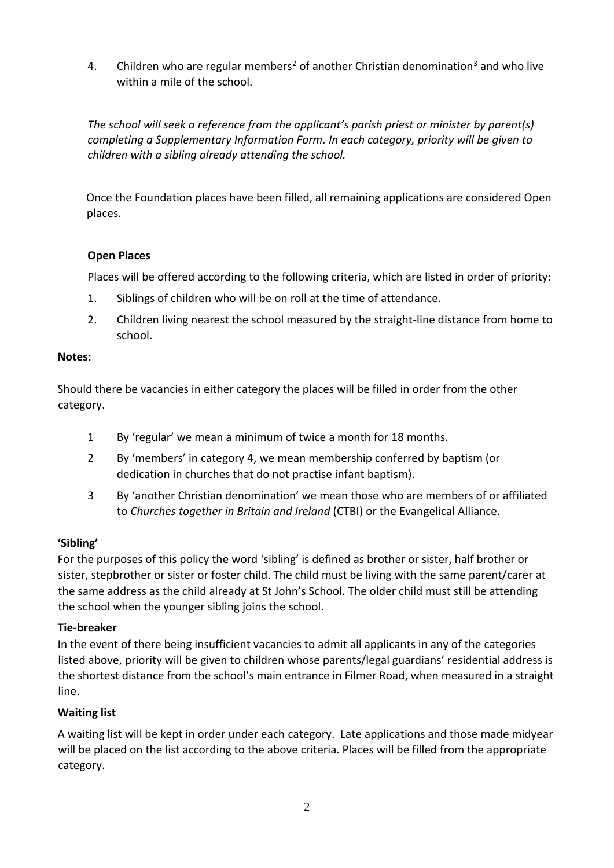4. Children who are regular members<sup>2</sup> of another Christian denomination<sup>3</sup> and who live within a mile of the school.

*The school will seek a reference from the applicant's parish priest or minister by parent(s) completing a Supplementary Information Form. In each category, priority will be given to children with a sibling already attending the school.*

Once the Foundation places have been filled, all remaining applications are considered Open places.

### **Open Places**

Places will be offered according to the following criteria, which are listed in order of priority:

- 1. Siblings of children who will be on roll at the time of attendance.
- 2. Children living nearest the school measured by the straight-line distance from home to school.

#### **Notes:**

Should there be vacancies in either category the places will be filled in order from the other category.

- 1 By 'regular' we mean a minimum of twice a month for 18 months.
- 2 By 'members' in category 4, we mean membership conferred by baptism (or dedication in churches that do not practise infant baptism).
- 3 By 'another Christian denomination' we mean those who are members of or affiliated to *Churches together in Britain and Ireland* (CTBI) or the Evangelical Alliance.

#### **'Sibling'**

For the purposes of this policy the word 'sibling' is defined as brother or sister, half brother or sister, stepbrother or sister or foster child. The child must be living with the same parent/carer at the same address as the child already at St John's School*.* The older child must still be attending the school when the younger sibling joins the school.

#### **Tie-breaker**

In the event of there being insufficient vacancies to admit all applicants in any of the categories listed above, priority will be given to children whose parents/legal guardians' residential address is the shortest distance from the school's main entrance in Filmer Road, when measured in a straight line.

#### **Waiting list**

A waiting list will be kept in order under each category. Late applications and those made midyear will be placed on the list according to the above criteria. Places will be filled from the appropriate category.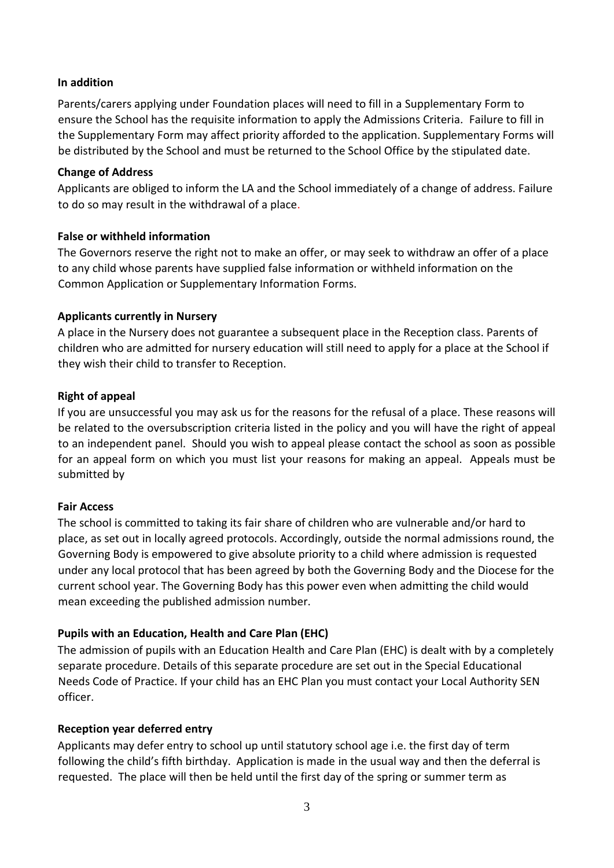#### **In addition**

Parents/carers applying under Foundation places will need to fill in a Supplementary Form to ensure the School has the requisite information to apply the Admissions Criteria*.* Failure to fill in the Supplementary Form may affect priority afforded to the application. Supplementary Forms will be distributed by the School and must be returned to the School Office by the stipulated date.

#### **Change of Address**

Applicants are obliged to inform the LA and the School immediately of a change of address. Failure to do so may result in the withdrawal of a place.

#### **False or withheld information**

The Governors reserve the right not to make an offer, or may seek to withdraw an offer of a place to any child whose parents have supplied false information or withheld information on the Common Application or Supplementary Information Forms.

#### **Applicants currently in Nursery**

A place in the Nursery does not guarantee a subsequent place in the Reception class. Parents of children who are admitted for nursery education will still need to apply for a place at the School if they wish their child to transfer to Reception.

#### **Right of appeal**

If you are unsuccessful you may ask us for the reasons for the refusal of a place. These reasons will be related to the oversubscription criteria listed in the policy and you will have the right of appeal to an independent panel. Should you wish to appeal please contact the school as soon as possible for an appeal form on which you must list your reasons for making an appeal. Appeals must be submitted by

#### **Fair Access**

The school is committed to taking its fair share of children who are vulnerable and/or hard to place, as set out in locally agreed protocols. Accordingly, outside the normal admissions round, the Governing Body is empowered to give absolute priority to a child where admission is requested under any local protocol that has been agreed by both the Governing Body and the Diocese for the current school year. The Governing Body has this power even when admitting the child would mean exceeding the published admission number.

#### **Pupils with an Education, Health and Care Plan (EHC)**

The admission of pupils with an Education Health and Care Plan (EHC) is dealt with by a completely separate procedure. Details of this separate procedure are set out in the Special Educational Needs Code of Practice. If your child has an EHC Plan you must contact your Local Authority SEN officer.

#### **Reception year deferred entry**

Applicants may defer entry to school up until statutory school age i.e. the first day of term following the child's fifth birthday. Application is made in the usual way and then the deferral is requested. The place will then be held until the first day of the spring or summer term as